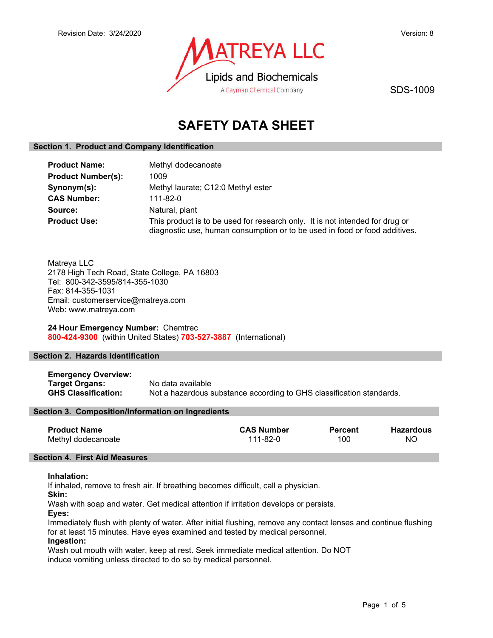

SDS-1009

# **SAFETY DATA SHEET**

## **Section 1. Product and Company Identification**

| <b>Product Name:</b>      | Methyl dodecanoate                                                                                                                                         |
|---------------------------|------------------------------------------------------------------------------------------------------------------------------------------------------------|
| <b>Product Number(s):</b> | 1009                                                                                                                                                       |
| Synonym(s):               | Methyl laurate; C12:0 Methyl ester                                                                                                                         |
| <b>CAS Number:</b>        | 111-82-0                                                                                                                                                   |
| Source:                   | Natural, plant                                                                                                                                             |
| <b>Product Use:</b>       | This product is to be used for research only. It is not intended for drug or<br>diagnostic use, human consumption or to be used in food or food additives. |

Matreya LLC 2178 High Tech Road, State College, PA 16803 Tel: 800-342-3595/814-355-1030 Fax: 814-355-1031 Email: customerservice@matreya.com Web: www.matreya.com

**24 Hour Emergency Number:** Chemtrec **800-424-9300** (within United States) **703-527-3887** (International)

## **Section 2. Hazards Identification**

**Emergency Overview: Target Organs:** No data available **GHS Classification:** Not a hazardous substance according to GHS classification standards.

## **Section 3. Composition/Information on Ingredients**

| <b>Product Name</b> | <b>CAS Number</b> | <b>Percent</b> | Hazardous |
|---------------------|-------------------|----------------|-----------|
| Methyl dodecanoate  | 111-82-0          | 100            | NC        |

## **Section 4. First Aid Measures**

#### **Inhalation:**

If inhaled, remove to fresh air. If breathing becomes difficult, call a physician.

**Skin:**

Wash with soap and water. Get medical attention if irritation develops or persists.

**Eyes:**

Immediately flush with plenty of water. After initial flushing, remove any contact lenses and continue flushing for at least 15 minutes. Have eyes examined and tested by medical personnel.

## **Ingestion:**

Wash out mouth with water, keep at rest. Seek immediate medical attention. Do NOT induce vomiting unless directed to do so by medical personnel.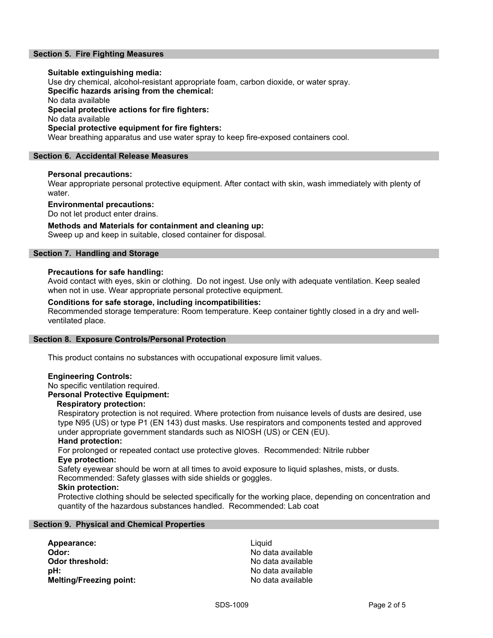## **Section 5. Fire Fighting Measures**

#### **Suitable extinguishing media:**

Use dry chemical, alcohol-resistant appropriate foam, carbon dioxide, or water spray.

**Specific hazards arising from the chemical:**

No data available

**Special protective actions for fire fighters:**

No data available

#### **Special protective equipment for fire fighters:**

Wear breathing apparatus and use water spray to keep fire-exposed containers cool.

## **Section 6. Accidental Release Measures**

#### **Personal precautions:**

Wear appropriate personal protective equipment. After contact with skin, wash immediately with plenty of water.

#### **Environmental precautions:**

Do not let product enter drains.

## **Methods and Materials for containment and cleaning up:**

Sweep up and keep in suitable, closed container for disposal.

## **Section 7. Handling and Storage**

#### **Precautions for safe handling:**

Avoid contact with eyes, skin or clothing. Do not ingest. Use only with adequate ventilation. Keep sealed when not in use. Wear appropriate personal protective equipment.

#### **Conditions for safe storage, including incompatibilities:**

Recommended storage temperature: Room temperature. Keep container tightly closed in a dry and wellventilated place.

#### **Section 8. Exposure Controls/Personal Protection**

This product contains no substances with occupational exposure limit values.

#### **Engineering Controls:**

## No specific ventilation required.

**Personal Protective Equipment:**

#### **Respiratory protection:**

Respiratory protection is not required. Where protection from nuisance levels of dusts are desired, use type N95 (US) or type P1 (EN 143) dust masks. Use respirators and components tested and approved under appropriate government standards such as NIOSH (US) or CEN (EU).

#### **Hand protection:**

For prolonged or repeated contact use protective gloves. Recommended: Nitrile rubber **Eye protection:**

Safety eyewear should be worn at all times to avoid exposure to liquid splashes, mists, or dusts. Recommended: Safety glasses with side shields or goggles.

#### **Skin protection:**

Protective clothing should be selected specifically for the working place, depending on concentration and quantity of the hazardous substances handled. Recommended: Lab coat

#### **Section 9. Physical and Chemical Properties**

| Liquid |
|--------|
| No da  |
| No da  |
| No da  |
| No da  |
|        |

**Odor:** No data available **Odor threshold:** No data available **pH:** No data available **Melting/Freezing point:** No data available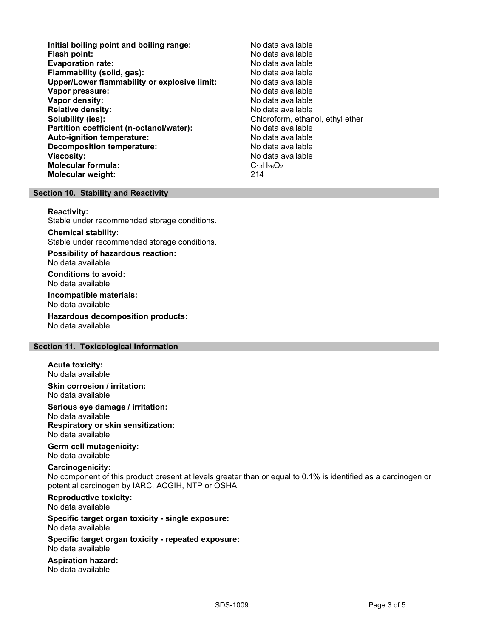- **Initial boiling point and boiling range:** No data available **Flash point:** No data available **Evaporation rate: Flammability (solid, gas):** No data available **Upper/Lower flammability or explosive limit:** No data available **Vapor pressure:** No data available is a set of the set of the No data available **Vapor density:** No data available **Relative density:**  $\begin{array}{ccc} \bullet & \bullet & \bullet & \bullet \\ \bullet & \bullet & \bullet & \bullet & \bullet \end{array}$  (ata available continuous) of the Solubility (ies): **Partition coefficient (n-octanol/water):** No data available<br> **Auto-ignition temperature:** No data available **Auto-ignition temperature: Decomposition temperature:** No data available **Viscosity:** No data available **Molecular formula:** C<sub>13</sub>H<sub>26</sub>O<sub>2</sub> **Molecular weight:** 214
	- **Solubility (ies):** Chloroform, ethanol, ethyl ether

#### **Section 10. Stability and Reactivity**

**Reactivity:**

Stable under recommended storage conditions.

**Chemical stability:** Stable under recommended storage conditions.

**Possibility of hazardous reaction:** No data available

**Conditions to avoid:** No data available

**Incompatible materials:**

No data available

**Hazardous decomposition products:** No data available

### **Section 11. Toxicological Information**

**Acute toxicity:** No data available

**Skin corrosion / irritation:** No data available

**Serious eye damage / irritation:** No data available **Respiratory or skin sensitization:** No data available

**Germ cell mutagenicity:** No data available

## **Carcinogenicity:**

No component of this product present at levels greater than or equal to 0.1% is identified as a carcinogen or potential carcinogen by IARC, ACGIH, NTP or OSHA.

**Reproductive toxicity:**

No data available

#### **Specific target organ toxicity - single exposure:** No data available

**Specific target organ toxicity - repeated exposure:**

No data available

**Aspiration hazard:** No data available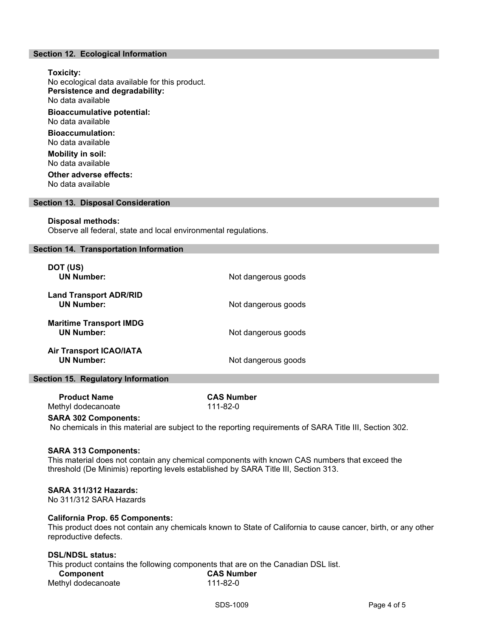## **Section 12. Ecological Information**

**Toxicity:** No ecological data available for this product. **Persistence and degradability:** No data available **Bioaccumulative potential:** No data available **Bioaccumulation:** No data available **Mobility in soil:** No data available **Other adverse effects:**

No data available

#### **Section 13. Disposal Consideration**

#### **Disposal methods:**

Observe all federal, state and local environmental regulations.

#### **Section 14. Transportation Information**

| DOT (US)<br><b>UN Number:</b>                       | Not dangerous goods |
|-----------------------------------------------------|---------------------|
| <b>Land Transport ADR/RID</b><br><b>UN Number:</b>  | Not dangerous goods |
| <b>Maritime Transport IMDG</b><br><b>UN Number:</b> | Not dangerous goods |
| <b>Air Transport ICAO/IATA</b><br><b>UN Number:</b> | Not dangerous goods |

#### **Section 15. Regulatory Information**

 **Product Name CAS Number** Methyl dodecanoate 111-82-0

## **SARA 302 Components:**

No chemicals in this material are subject to the reporting requirements of SARA Title III, Section 302.

#### **SARA 313 Components:**

This material does not contain any chemical components with known CAS numbers that exceed the threshold (De Minimis) reporting levels established by SARA Title III, Section 313.

#### **SARA 311/312 Hazards:**

No 311/312 SARA Hazards

#### **California Prop. 65 Components:**

This product does not contain any chemicals known to State of California to cause cancer, birth, or any other reproductive defects.

#### **DSL/NDSL status:**

This product contains the following components that are on the Canadian DSL list.  **Component CAS Number**

| -----------        |  |
|--------------------|--|
| Methyl dodecanoate |  |

 $111 - 82 - 0$